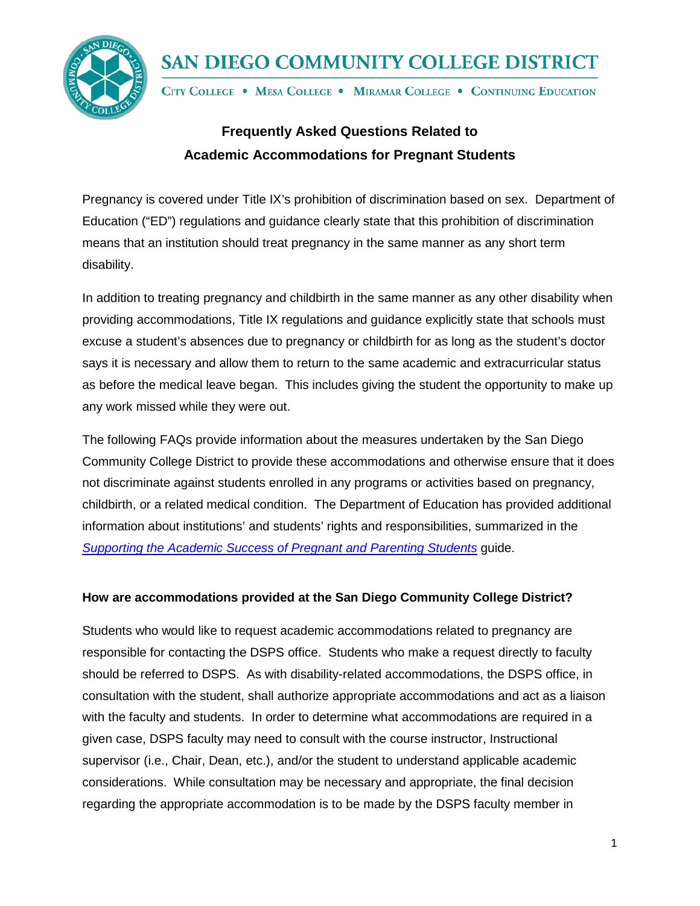

# SAN DIEGO COMMUNITY COLLEGE DISTRICT

CITY COLLEGE . MESA COLLEGE . MIRAMAR COLLEGE . CONTINUING EDUCATION

## **Frequently Asked Questions Related to Academic Accommodations for Pregnant Students**

Pregnancy is covered under Title IX's prohibition of discrimination based on sex. Department of Education ("ED") regulations and guidance clearly state that this prohibition of discrimination means that an institution should treat pregnancy in the same manner as any short term disability.

In addition to treating pregnancy and childbirth in the same manner as any other disability when providing accommodations, Title IX regulations and guidance explicitly state that schools must excuse a student's absences due to pregnancy or childbirth for as long as the student's doctor says it is necessary and allow them to return to the same academic and extracurricular status as before the medical leave began. This includes giving the student the opportunity to make up any work missed while they were out.

The following FAQs provide information about the measures undertaken by the San Diego Community College District to provide these accommodations and otherwise ensure that it does not discriminate against students enrolled in any programs or activities based on pregnancy, childbirth, or a related medical condition. The Department of Education has provided additional information about institutions' and students' rights and responsibilities, summarized in the *[Supporting the Academic Success of Pregnant and Parenting Students](https://www2.ed.gov/about/offices/list/ocr/docs/pregnancy.pdf)* guide.

#### **How are accommodations provided at the San Diego Community College District?**

Students who would like to request academic accommodations related to pregnancy are responsible for contacting the DSPS office. Students who make a request directly to faculty should be referred to DSPS. As with disability-related accommodations, the DSPS office, in consultation with the student, shall authorize appropriate accommodations and act as a liaison with the faculty and students. In order to determine what accommodations are required in a given case, DSPS faculty may need to consult with the course instructor, Instructional supervisor (i.e., Chair, Dean, etc.), and/or the student to understand applicable academic considerations. While consultation may be necessary and appropriate, the final decision regarding the appropriate accommodation is to be made by the DSPS faculty member in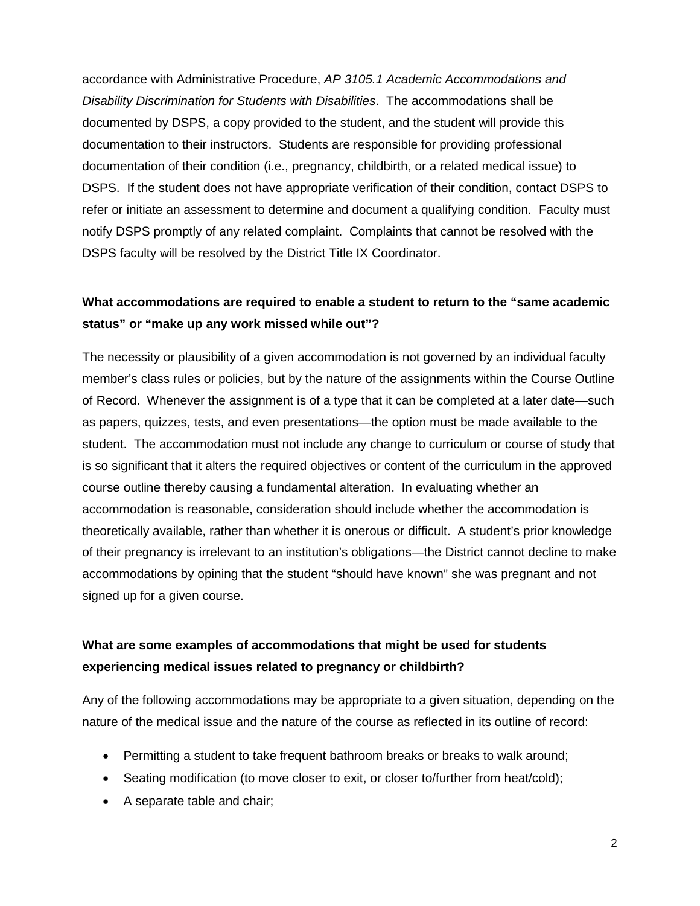accordance with Administrative Procedure, *[AP 3105.1](http://www.sdccd.edu/docs/procedures/Student%20Services/AP%203105_01.pdf) Academic Accommodations and Disability Discrimination for Students with Disabilities*. The accommodations shall be documented by DSPS, a copy provided to the student, and the student will provide this documentation to their instructors. Students are responsible for providing professional documentation of their condition (i.e., pregnancy, childbirth, or a related medical issue) to DSPS. If the student does not have appropriate verification of their condition, contact DSPS to refer or initiate an assessment to determine and document a qualifying condition. Faculty must notify DSPS promptly of any related complaint. Complaints that cannot be resolved with the DSPS faculty will be resolved by the District Title IX Coordinator.

### **What accommodations are required to enable a student to return to the "same academic status" or "make up any work missed while out"?**

The necessity or plausibility of a given accommodation is not governed by an individual faculty member's class rules or policies, but by the nature of the assignments within the Course Outline of Record. Whenever the assignment is of a type that it can be completed at a later date—such as papers, quizzes, tests, and even presentations—the option must be made available to the student. The accommodation must not include any change to curriculum or course of study that is so significant that it alters the required objectives or content of the curriculum in the approved course outline thereby causing a fundamental alteration. In evaluating whether an accommodation is reasonable, consideration should include whether the accommodation is theoretically available, rather than whether it is onerous or difficult. A student's prior knowledge of their pregnancy is irrelevant to an institution's obligations—the District cannot decline to make accommodations by opining that the student "should have known" she was pregnant and not signed up for a given course.

#### **What are some examples of accommodations that might be used for students experiencing medical issues related to pregnancy or childbirth?**

Any of the following accommodations may be appropriate to a given situation, depending on the nature of the medical issue and the nature of the course as reflected in its outline of record:

- Permitting a student to take frequent bathroom breaks or breaks to walk around;
- Seating modification (to move closer to exit, or closer to/further from heat/cold);
- A separate table and chair;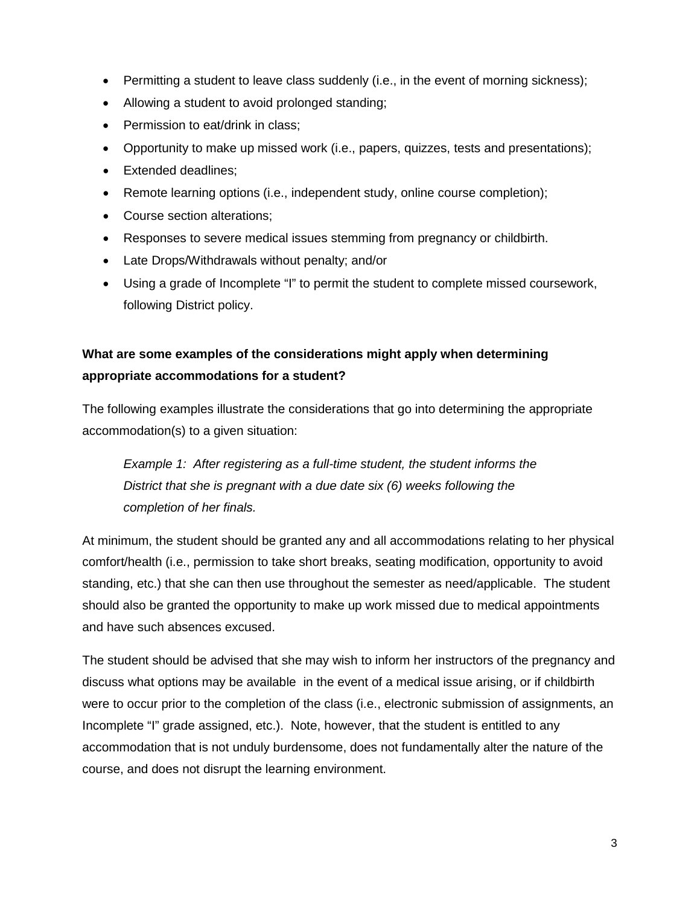- Permitting a student to leave class suddenly (i.e., in the event of morning sickness);
- Allowing a student to avoid prolonged standing;
- Permission to eat/drink in class;
- Opportunity to make up missed work (i.e., papers, quizzes, tests and presentations);
- Extended deadlines;
- Remote learning options (i.e., independent study, online course completion);
- Course section alterations;
- Responses to severe medical issues stemming from pregnancy or childbirth.
- Late Drops/Withdrawals without penalty; and/or
- Using a grade of Incomplete "I" to permit the student to complete missed coursework, following District policy.

### **What are some examples of the considerations might apply when determining appropriate accommodations for a student?**

The following examples illustrate the considerations that go into determining the appropriate accommodation(s) to a given situation:

*Example 1: After registering as a full-time student, the student informs the District that she is pregnant with a due date six (6) weeks following the completion of her finals.*

At minimum, the student should be granted any and all accommodations relating to her physical comfort/health (i.e., permission to take short breaks, seating modification, opportunity to avoid standing, etc.) that she can then use throughout the semester as need/applicable. The student should also be granted the opportunity to make up work missed due to medical appointments and have such absences excused.

The student should be advised that she may wish to inform her instructors of the pregnancy and discuss what options may be available in the event of a medical issue arising, or if childbirth were to occur prior to the completion of the class (i.e., electronic submission of assignments, an Incomplete "I" grade assigned, etc.). Note, however, that the student is entitled to any accommodation that is not unduly burdensome, does not fundamentally alter the nature of the course, and does not disrupt the learning environment.